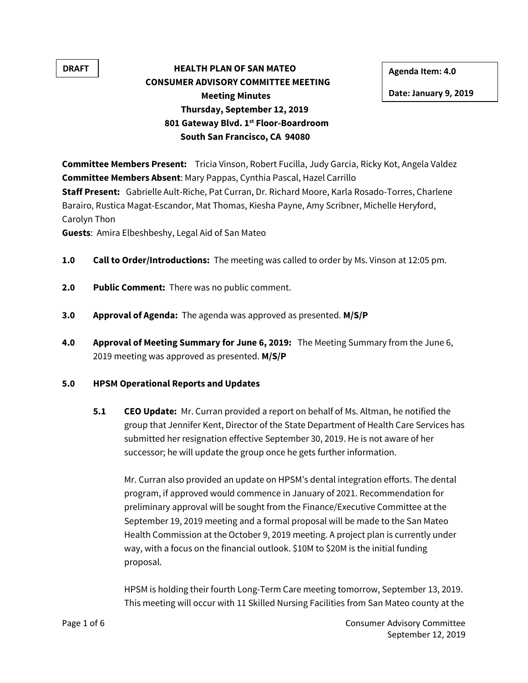## **DRAFT HEALTH PLAN OF SAN MATEO** Agenda Item: 4.0 **CONSUMER ADVISORY COMMITTEE MEETING Meeting Minutes Thursday, September 12, 2019 801 Gateway Blvd. 1st Floor-Boardroom South San Francisco, CA 94080**

**Date: January 9, 2019** 

**Committee Members Present:** Tricia Vinson, Robert Fucilla, Judy Garcia, Ricky Kot, Angela Valdez **Committee Members Absent**: Mary Pappas, Cynthia Pascal, Hazel Carrillo **Staff Present:** Gabrielle Ault-Riche, Pat Curran, Dr. Richard Moore, Karla Rosado-Torres, Charlene Barairo, Rustica Magat-Escandor, Mat Thomas, Kiesha Payne, Amy Scribner, Michelle Heryford, Carolyn Thon

**Guests**: Amira Elbeshbeshy, Legal Aid of San Mateo

- **1.0 Call to Order/Introductions:** The meeting was called to order by Ms. Vinson at 12:05 pm.
- **2.0 Public Comment:** There was no public comment.
- **3.0 Approval of Agenda:** The agenda was approved as presented. **M/S/P**
- **4.0 Approval of Meeting Summary for June 6, 2019:** The Meeting Summary from the June 6, 2019 meeting was approved as presented. **M/S/P**

## **5.0 HPSM Operational Reports and Updates**

**5.1 CEO Update:** Mr. Curran provided a report on behalf of Ms. Altman, he notified the group that Jennifer Kent, Director of the State Department of Health Care Services has submitted her resignation effective September 30, 2019. He is not aware of her successor; he will update the group once he gets further information.

Mr. Curran also provided an update on HPSM's dental integration efforts. The dental program, if approved would commence in January of 2021. Recommendation for preliminary approval will be sought from the Finance/Executive Committee at the September 19, 2019 meeting and a formal proposal will be made to the San Mateo Health Commission at the October 9, 2019 meeting. A project plan is currently under way, with a focus on the financial outlook. \$10M to \$20M is the initial funding proposal.

HPSM is holding their fourth Long-Term Care meeting tomorrow, September 13, 2019. This meeting will occur with 11 Skilled Nursing Facilities from San Mateo county at the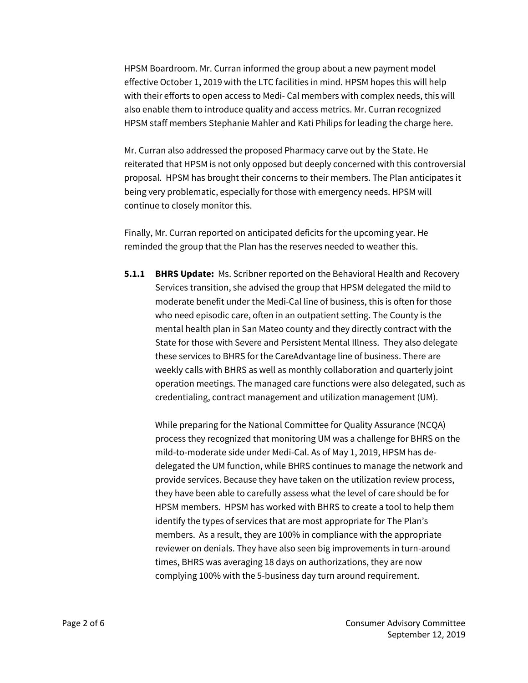HPSM Boardroom. Mr. Curran informed the group about a new payment model effective October 1, 2019 with the LTC facilities in mind. HPSM hopes this will help with their efforts to open access to Medi- Cal members with complex needs, this will also enable them to introduce quality and access metrics. Mr. Curran recognized HPSM staff members Stephanie Mahler and Kati Philips for leading the charge here.

Mr. Curran also addressed the proposed Pharmacy carve out by the State. He reiterated that HPSM is not only opposed but deeply concerned with this controversial proposal. HPSM has brought their concerns to their members. The Plan anticipates it being very problematic, especially for those with emergency needs. HPSM will continue to closely monitor this.

Finally, Mr. Curran reported on anticipated deficits for the upcoming year. He reminded the group that the Plan has the reserves needed to weather this.

**5.1.1 BHRS Update:** Ms. Scribner reported on the Behavioral Health and Recovery Services transition, she advised the group that HPSM delegated the mild to moderate benefit under the Medi-Cal line of business, this is often for those who need episodic care, often in an outpatient setting. The County is the mental health plan in San Mateo county and they directly contract with the State for those with Severe and Persistent Mental Illness. They also delegate these services to BHRS for the CareAdvantage line of business. There are weekly calls with BHRS as well as monthly collaboration and quarterly joint operation meetings. The managed care functions were also delegated, such as credentialing, contract management and utilization management (UM).

While preparing for the National Committee for Quality Assurance (NCQA) process they recognized that monitoring UM was a challenge for BHRS on the mild-to-moderate side under Medi-Cal. As of May 1, 2019, HPSM has dedelegated the UM function, while BHRS continues to manage the network and provide services. Because they have taken on the utilization review process, they have been able to carefully assess what the level of care should be for HPSM members. HPSM has worked with BHRS to create a tool to help them identify the types of services that are most appropriate for The Plan's members. As a result, they are 100% in compliance with the appropriate reviewer on denials. They have also seen big improvements in turn-around times, BHRS was averaging 18 days on authorizations, they are now complying 100% with the 5-business day turn around requirement.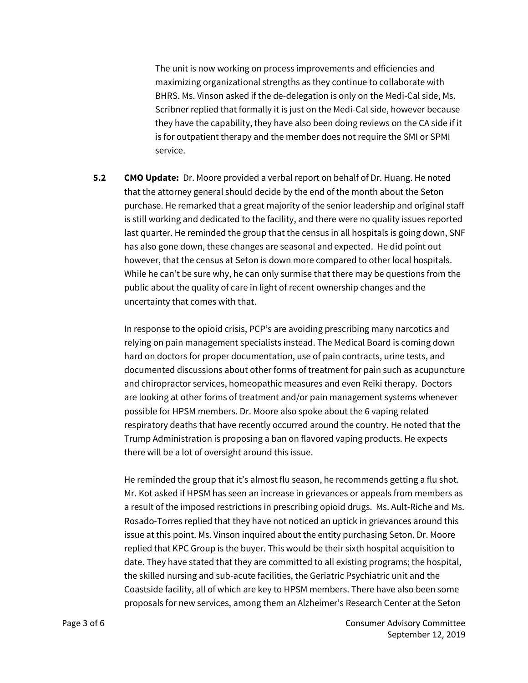The unit is now working on process improvements and efficiencies and maximizing organizational strengths as they continue to collaborate with BHRS. Ms. Vinson asked if the de-delegation is only on the Medi-Cal side, Ms. Scribner replied that formally it is just on the Medi-Cal side, however because they have the capability, they have also been doing reviews on the CA side if it is for outpatient therapy and the member does not require the SMI or SPMI service.

**5.2 CMO Update:** Dr. Moore provided a verbal report on behalf of Dr. Huang. He noted that the attorney general should decide by the end of the month about the Seton purchase. He remarked that a great majority of the senior leadership and original staff is still working and dedicated to the facility, and there were no quality issues reported last quarter. He reminded the group that the census in all hospitals is going down, SNF has also gone down, these changes are seasonal and expected. He did point out however, that the census at Seton is down more compared to other local hospitals. While he can't be sure why, he can only surmise that there may be questions from the public about the quality of care in light of recent ownership changes and the uncertainty that comes with that.

In response to the opioid crisis, PCP's are avoiding prescribing many narcotics and relying on pain management specialists instead. The Medical Board is coming down hard on doctors for proper documentation, use of pain contracts, urine tests, and documented discussions about other forms of treatment for pain such as acupuncture and chiropractor services, homeopathic measures and even Reiki therapy. Doctors are looking at other forms of treatment and/or pain management systems whenever possible for HPSM members. Dr. Moore also spoke about the 6 vaping related respiratory deaths that have recently occurred around the country. He noted that the Trump Administration is proposing a ban on flavored vaping products. He expects there will be a lot of oversight around this issue.

He reminded the group that it's almost flu season, he recommends getting a flu shot. Mr. Kot asked if HPSM has seen an increase in grievances or appeals from members as a result of the imposed restrictions in prescribing opioid drugs. Ms. Ault-Riche and Ms. Rosado-Torres replied that they have not noticed an uptick in grievances around this issue at this point. Ms. Vinson inquired about the entity purchasing Seton. Dr. Moore replied that KPC Group is the buyer. This would be their sixth hospital acquisition to date. They have stated that they are committed to all existing programs; the hospital, the skilled nursing and sub-acute facilities, the Geriatric Psychiatric unit and the Coastside facility, all of which are key to HPSM members. There have also been some proposals for new services, among them an Alzheimer's Research Center at the Seton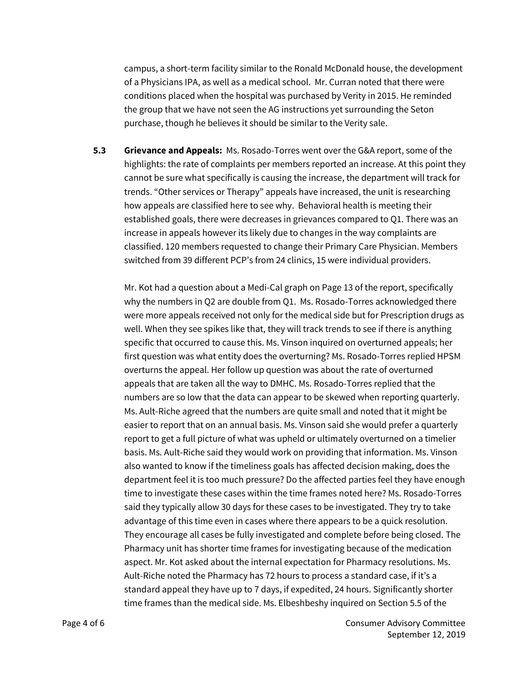campus, a short-term facility similar to the Ronald McDonald house, the development of a Physicians IPA, as well as a medical school. Mr. Curran noted that there were conditions placed when the hospital was purchased by Verity in 2015. He reminded the group that we have not seen the AG instructions yet surrounding the Seton purchase, though he believes it should be similar to the Verity sale.

**5.3 Grievance and Appeals:** Ms. Rosado-Torres went over the G&A report, some of the highlights: the rate of complaints per members reported an increase. At this point they cannot be sure what specifically is causing the increase, the department will track for trends. "Other services or Therapy" appeals have increased, the unit is researching how appeals are classified here to see why. Behavioral health is meeting their established goals, there were decreases in grievances compared to Q1. There was an increase in appeals however its likely due to changes in the way complaints are classified. 120 members requested to change their Primary Care Physician. Members switched from 39 different PCP's from 24 clinics, 15 were individual providers.

Mr. Kot had a question about a Medi-Cal graph on Page 13 of the report, specifically why the numbers in Q2 are double from Q1. Ms. Rosado-Torres acknowledged there were more appeals received not only for the medical side but for Prescription drugs as well. When they see spikes like that, they will track trends to see if there is anything specific that occurred to cause this. Ms. Vinson inquired on overturned appeals; her first question was what entity does the overturning? Ms. Rosado-Torres replied HPSM overturns the appeal. Her follow up question was about the rate of overturned appeals that are taken all the way to DMHC. Ms. Rosado-Torres replied that the numbers are so low that the data can appear to be skewed when reporting quarterly. Ms. Ault-Riche agreed that the numbers are quite small and noted that it might be easier to report that on an annual basis. Ms. Vinson said she would prefer a quarterly report to get a full picture of what was upheld or ultimately overturned on a timelier basis. Ms. Ault-Riche said they would work on providing that information. Ms. Vinson also wanted to know if the timeliness goals has affected decision making, does the department feel it is too much pressure? Do the affected parties feel they have enough time to investigate these cases within the time frames noted here? Ms. Rosado-Torres said they typically allow 30 days for these cases to be investigated. They try to take advantage of this time even in cases where there appears to be a quick resolution. They encourage all cases be fully investigated and complete before being closed. The Pharmacy unit has shorter time frames for investigating because of the medication aspect. Mr. Kot asked about the internal expectation for Pharmacy resolutions. Ms. Ault-Riche noted the Pharmacy has 72 hours to process a standard case, if it's a standard appeal they have up to 7 days, if expedited, 24 hours. Significantly shorter time frames than the medical side. Ms. Elbeshbeshy inquired on Section 5.5 of the

Page 4 of 6 Consumer Advisory Committee September 12, 2019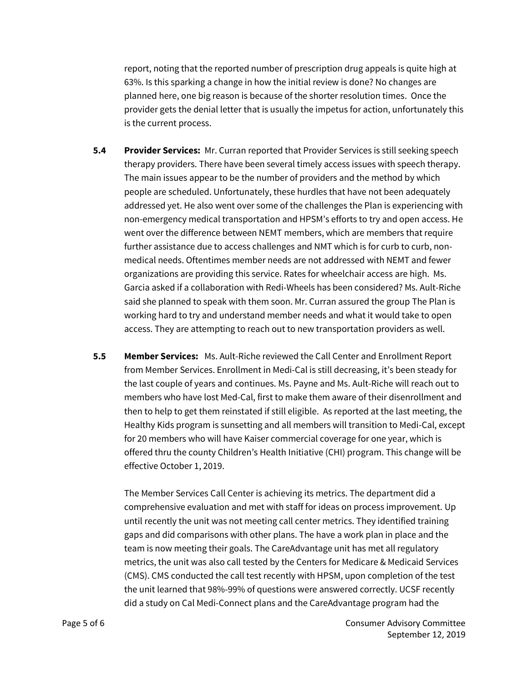report, noting that the reported number of prescription drug appeals is quite high at 63%. Is this sparking a change in how the initial review is done? No changes are planned here, one big reason is because of the shorter resolution times. Once the provider gets the denial letter that is usually the impetus for action, unfortunately this is the current process.

- **5.4 Provider Services:** Mr. Curran reported that Provider Services is still seeking speech therapy providers. There have been several timely access issues with speech therapy. The main issues appear to be the number of providers and the method by which people are scheduled. Unfortunately, these hurdles that have not been adequately addressed yet. He also went over some of the challenges the Plan is experiencing with non-emergency medical transportation and HPSM's efforts to try and open access. He went over the difference between NEMT members, which are members that require further assistance due to access challenges and NMT which is for curb to curb, nonmedical needs. Oftentimes member needs are not addressed with NEMT and fewer organizations are providing this service. Rates for wheelchair access are high. Ms. Garcia asked if a collaboration with Redi-Wheels has been considered? Ms. Ault-Riche said she planned to speak with them soon. Mr. Curran assured the group The Plan is working hard to try and understand member needs and what it would take to open access. They are attempting to reach out to new transportation providers as well.
- **5.5 Member Services:** Ms. Ault-Riche reviewed the Call Center and Enrollment Report from Member Services. Enrollment in Medi-Cal is still decreasing, it's been steady for the last couple of years and continues. Ms. Payne and Ms. Ault-Riche will reach out to members who have lost Med-Cal, first to make them aware of their disenrollment and then to help to get them reinstated if still eligible. As reported at the last meeting, the Healthy Kids program is sunsetting and all members will transition to Medi-Cal, except for 20 members who will have Kaiser commercial coverage for one year, which is offered thru the county Children's Health Initiative (CHI) program. This change will be effective October 1, 2019.

The Member Services Call Center is achieving its metrics. The department did a comprehensive evaluation and met with staff for ideas on process improvement. Up until recently the unit was not meeting call center metrics. They identified training gaps and did comparisons with other plans. The have a work plan in place and the team is now meeting their goals. The CareAdvantage unit has met all regulatory metrics, the unit was also call tested by the Centers for Medicare & Medicaid Services (CMS). CMS conducted the call test recently with HPSM, upon completion of the test the unit learned that 98%-99% of questions were answered correctly. UCSF recently did a study on Cal Medi-Connect plans and the CareAdvantage program had the